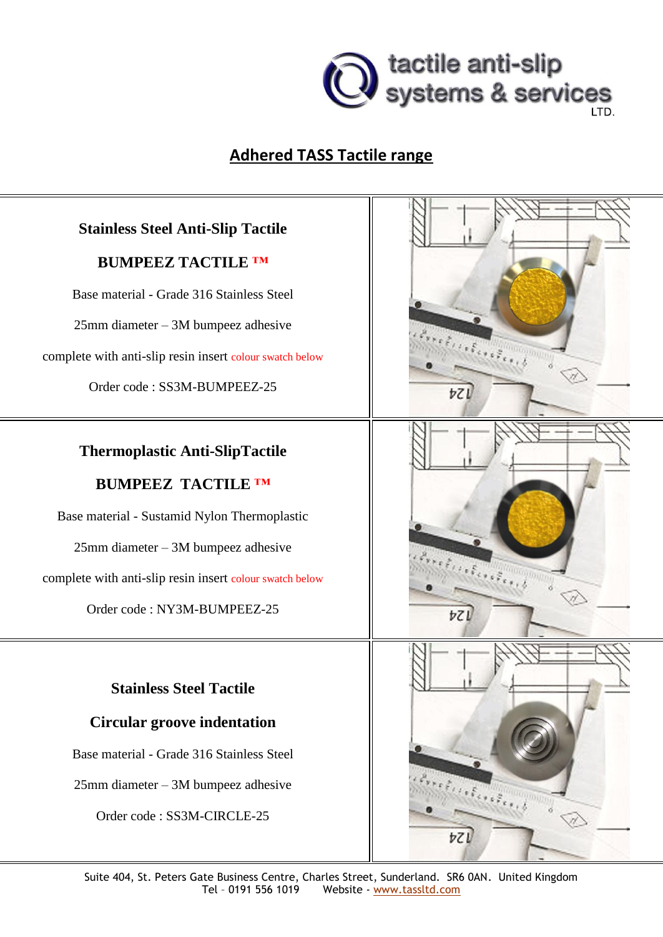

## **Adhered TASS Tactile range**

## **Stainless Steel Anti-Slip Tactile**

#### **BUMPEEZ TACTILE ™**

Base material - Grade 316 Stainless Steel

25mm diameter – 3M bumpeez adhesive

complete with anti-slip resin insert colour swatch below

Order code : SS3M-BUMPEEZ-25

### **Thermoplastic Anti-SlipTactile**

#### **BUMPEEZ TACTILE ™**

Base material - Sustamid Nylon Thermoplastic

25mm diameter – 3M bumpeez adhesive

complete with anti-slip resin insert colour swatch below

Order code : NY3M-BUMPEEZ-25

## **Stainless Steel Tactile**

#### **Circular groove indentation**

Base material - Grade 316 Stainless Steel

25mm diameter – 3M bumpeez adhesive

Order code : SS3M-CIRCLE-25

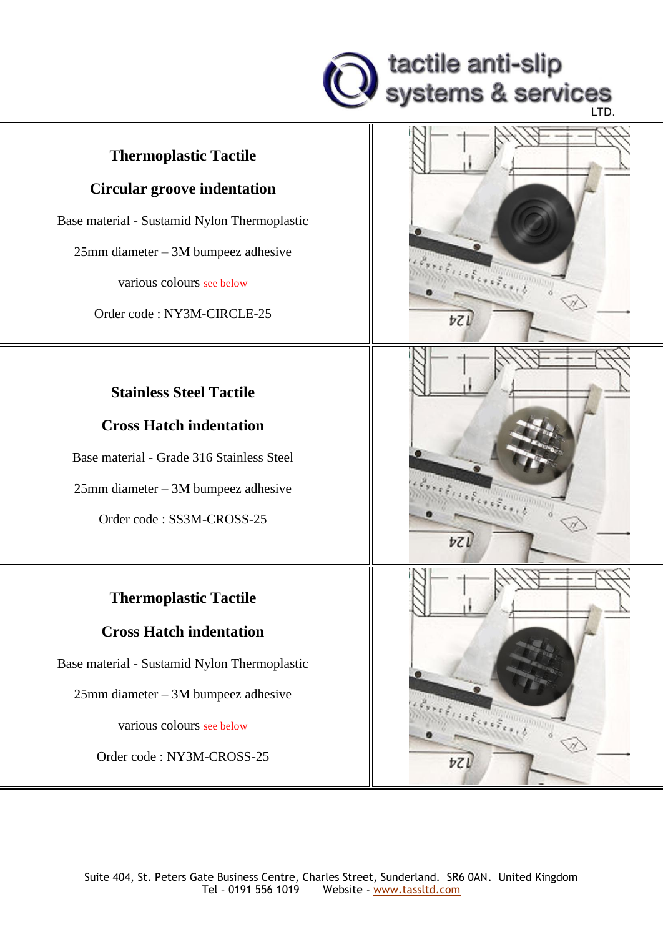

#### **Thermoplastic Tactile**

#### **Circular groove indentation**

Base material - Sustamid Nylon Thermoplastic

25mm diameter – 3M bumpeez adhesive

various colours see below

Order code : NY3M-CIRCLE-25

#### **Stainless Steel Tactile**

#### **Cross Hatch indentation**

Base material - Grade 316 Stainless Steel

25mm diameter – 3M bumpeez adhesive

Order code : SS3M-CROSS-25

# **Thermoplastic Tactile**

#### **Cross Hatch indentation**

Base material - Sustamid Nylon Thermoplastic

25mm diameter – 3M bumpeez adhesive

various colours see below

Order code : NY3M-CROSS-25